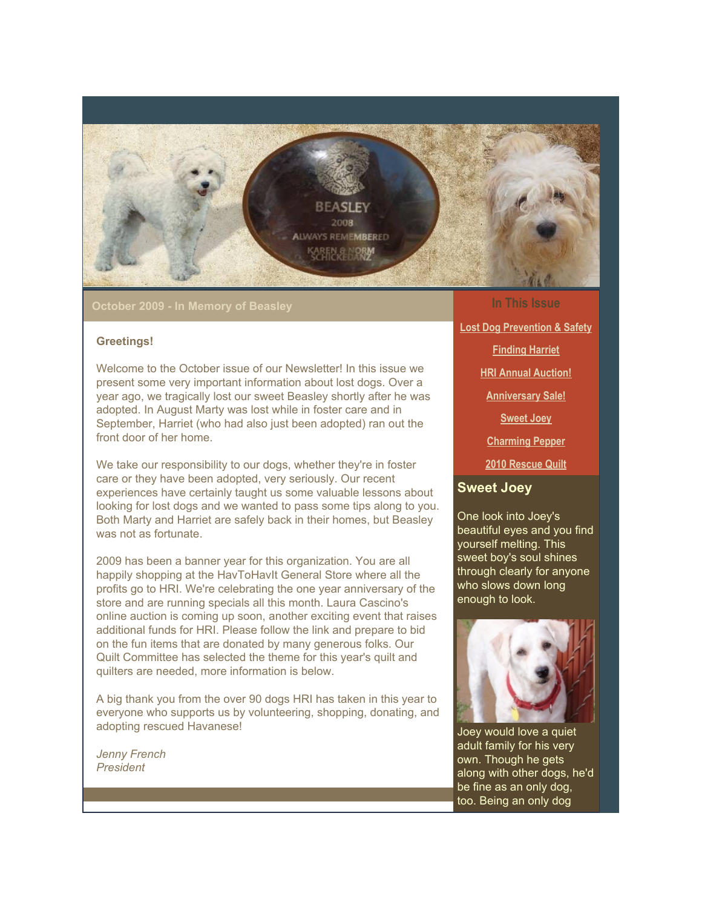

**October 2009 - In Memory of Beasley**

#### **Greetings!**

Welcome to the October issue of our Newsletter! In this issue we present some very important information about lost dogs. Over a year ago, we tragically lost our sweet Beasley shortly after he was adopted. In August Marty was lost while in foster care and in September, Harriet (who had also just been adopted) ran out the front door of her home.

We take our responsibility to our dogs, whether they're in foster care or they have been adopted, very seriously. Our recent experiences have certainly taught us some valuable lessons about looking for lost dogs and we wanted to pass some tips along to you. Both Marty and Harriet are safely back in their homes, but Beasley was not as fortunate.

2009 has been a banner year for this organization. You are all happily shopping at the HavToHavIt General Store where all the profits go to HRI. We're celebrating the one year anniversary of the store and are running specials all this month. Laura Cascino's online auction is coming up soon, another exciting event that raises additional funds for HRI. Please follow the link and prepare to bid on the fun items that are donated by many generous folks. Our Quilt Committee has selected the theme for this year's quilt and quilters are needed, more information is below.

A big thank you from the over 90 dogs HRI has taken in this year to everyone who supports us by volunteering, shopping, donating, and adopting rescued Havanese!

*Jenny French President*

#### **In This Issue**

**[Lost Dog Prevention & Safety](https://mail.google.com/mail/?ui=2&view=bsp&ver=1qygpcgurkovy#1247f2ac89e414e7_LETTER.BLOCK5) [Finding Harriet](https://mail.google.com/mail/?ui=2&view=bsp&ver=1qygpcgurkovy#1247f2ac89e414e7_LETTER.BLOCK6) [HRI Annual Auction!](https://mail.google.com/mail/?ui=2&view=bsp&ver=1qygpcgurkovy#1247f2ac89e414e7_LETTER.BLOCK17) [Anniversary Sale!](https://mail.google.com/mail/?ui=2&view=bsp&ver=1qygpcgurkovy#1247f2ac89e414e7_LETTER.BLOCK7) [Sweet Joey](https://mail.google.com/mail/?ui=2&view=bsp&ver=1qygpcgurkovy#1247f2ac89e414e7_LETTER.BLOCK10) [Charming Pepper](https://mail.google.com/mail/?ui=2&view=bsp&ver=1qygpcgurkovy#1247f2ac89e414e7_LETTER.BLOCK12) [2010 Rescue Quilt](https://mail.google.com/mail/?ui=2&view=bsp&ver=1qygpcgurkovy#1247f2ac89e414e7_LETTER.BLOCK14)**

#### **Sweet Joey**

One look into Joey's beautiful eyes and you find yourself melting. This sweet boy's soul shines through clearly for anyone who slows down long enough to look.



Joey would love a quiet adult family for his very own. Though he gets along with other dogs, he'd be fine as an only dog, too. Being an only dog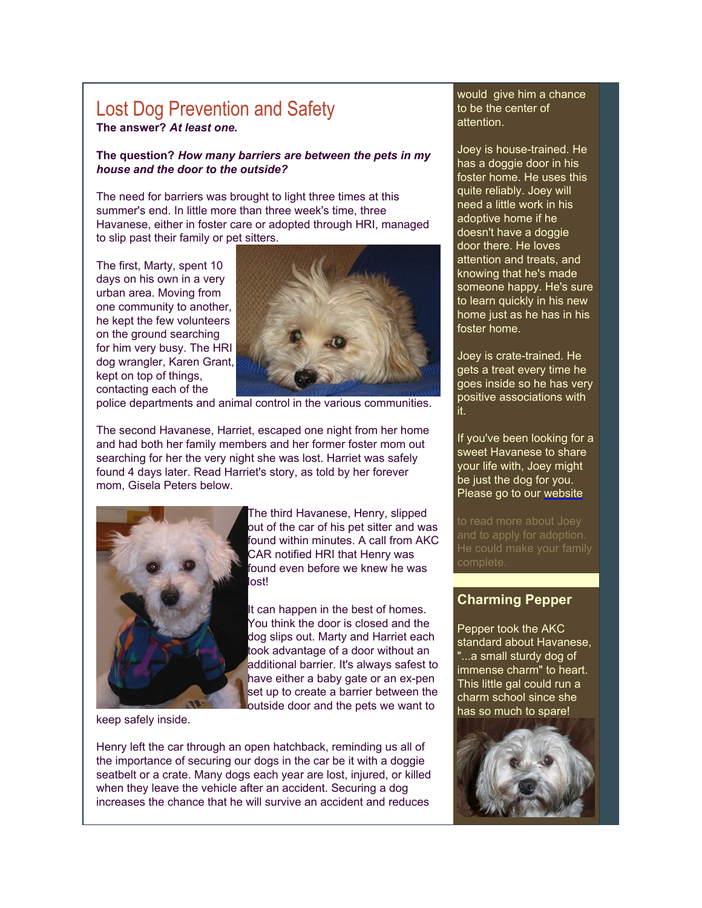## Lost Dog Prevention and Safety **The answer?** *At least one.*

#### **The question?** *How many barriers are between the pets in my house and the door to the outside?*

The need for barriers was brought to light three times at this summer's end. In little more than three week's time, three Havanese, either in foster care or adopted through HRI, managed to slip past their family or pet sitters.

The first, Marty, spent 10 days on his own in a very urban area. Moving from one community to another, he kept the few volunteers on the ground searching for him very busy. The HRI dog wrangler, Karen Grant, kept on top of things, contacting each of the



police departments and animal control in the various communities.

The second Havanese, Harriet, escaped one night from her home and had both her family members and her former foster mom out searching for her the very night she was lost. Harriet was safely found 4 days later. Read Harriet's story, as told by her forever mom, Gisela Peters below.



The third Havanese, Henry, slipped out of the car of his pet sitter and was found within minutes. A call from AKC CAR notified HRI that Henry was found even before we knew he was lost!

It can happen in the best of homes. You think the door is closed and the dog slips out. Marty and Harriet each took advantage of a door without an additional barrier. It's always safest to have either a baby gate or an ex-pen set up to create a barrier between the outside door and the pets we want to

keep safely inside.

Henry left the car through an open hatchback, reminding us all of the importance of securing our dogs in the car be it with a doggie seatbelt or a crate. Many dogs each year are lost, injured, or killed when they leave the vehicle after an accident. Securing a dog increases the chance that he will survive an accident and reduces

#### would give him a chance to be the center of attention.

Joey is house-trained. He has a doggie door in his foster home. He uses this quite reliably. Joey will need a little work in his adoptive home if he doesn't have a doggie door there. He loves attention and treats, and knowing that he's made someone happy. He's sure to learn quickly in his new home just as he has in his foster home.

Joey is crate-trained. He gets a treat every time he goes inside so he has very positive associations with it.

If you've been looking for a sweet Havanese to share your life with, Joey might be just the dog for you. Please go to our [website](http://rs6.net/tn.jsp?et=1102773275072&s=2126&e=001UlUg5NMTQzGaY2K65ku-8Sn5L04j6HujIlmaZ2iXW5S9ZTI0rRFPd9JUSIEytC_0ygRfJ2rq6lbGhbIrhCjhqyJnzlxAtxLJQsd9FzqhbL9vGj55it2S4WpvginJz-ub)

and to apply for adoption.

## **Charming Pepper**

Pepper took the AKC standard about Havanese, "...a small sturdy dog of immense charm" to heart. This little gal could run a charm school since she has so much to spare!

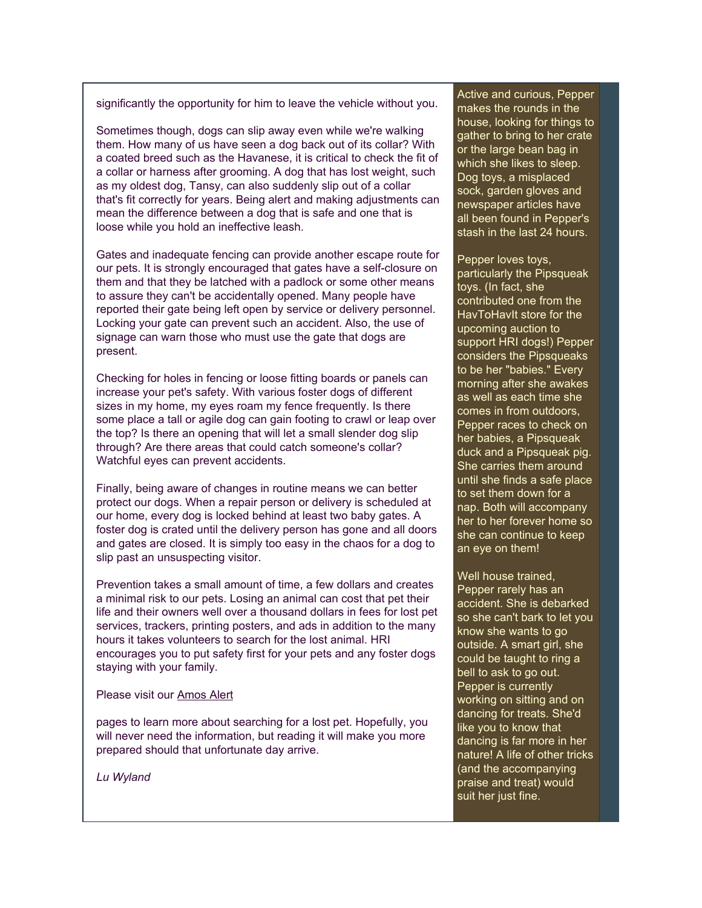significantly the opportunity for him to leave the vehicle without you.

Sometimes though, dogs can slip away even while we're walking them. How many of us have seen a dog back out of its collar? With a coated breed such as the Havanese, it is critical to check the fit of a collar or harness after grooming. A dog that has lost weight, such as my oldest dog, Tansy, can also suddenly slip out of a collar that's fit correctly for years. Being alert and making adjustments can mean the difference between a dog that is safe and one that is loose while you hold an ineffective leash.

Gates and inadequate fencing can provide another escape route for our pets. It is strongly encouraged that gates have a self-closure on them and that they be latched with a padlock or some other means to assure they can't be accidentally opened. Many people have reported their gate being left open by service or delivery personnel. Locking your gate can prevent such an accident. Also, the use of signage can warn those who must use the gate that dogs are present.

Checking for holes in fencing or loose fitting boards or panels can increase your pet's safety. With various foster dogs of different sizes in my home, my eyes roam my fence frequently. Is there some place a tall or agile dog can gain footing to crawl or leap over the top? Is there an opening that will let a small slender dog slip through? Are there areas that could catch someone's collar? Watchful eyes can prevent accidents.

Finally, being aware of changes in routine means we can better protect our dogs. When a repair person or delivery is scheduled at our home, every dog is locked behind at least two baby gates. A foster dog is crated until the delivery person has gone and all doors and gates are closed. It is simply too easy in the chaos for a dog to slip past an unsuspecting visitor.

Prevention takes a small amount of time, a few dollars and creates a minimal risk to our pets. Losing an animal can cost that pet their life and their owners well over a thousand dollars in fees for lost pet services, trackers, printing posters, and ads in addition to the many hours it takes volunteers to search for the lost animal. HRI encourages you to put safety first for your pets and any foster dogs staying with your family.

#### Please visit our [Amos Alert](http://rs6.net/tn.jsp?et=1102773275072&s=2126&e=001UlUg5NMTQzFNEl_0rZX0nNcNNciTQKGTTe0HjyEYIuk4jBklyH_VGtmY7ggVubrcOr9a5bs0Nv3TW4QxdYAW5A69EEdUpCwqjRqRzgHKsI0YjM91UWbm3PfSf_pNIDq2UiyNGRtsoEMfLGwWqKqWMGOF1itYcvtjmPnqo0J_DZecBM3tU5CesF6YowFAjyB8SwOi-8bBGzJt7FzTT0egxfczwgF-pKmI)

pages to learn more about searching for a lost pet. Hopefully, you will never need the information, but reading it will make you more prepared should that unfortunate day arrive.

*Lu Wyland*

Active and curious, Pepper makes the rounds in the house, looking for things to gather to bring to her crate or the large bean bag in which she likes to sleep. Dog toys, a misplaced sock, garden gloves and newspaper articles have all been found in Pepper's stash in the last 24 hours.

Pepper loves toys, particularly the Pipsqueak toys. (In fact, she contributed one from the HavToHavIt store for the upcoming auction to support HRI dogs!) Pepper considers the Pipsqueaks to be her "babies." Every morning after she awakes as well as each time she comes in from outdoors, Pepper races to check on her babies, a Pipsqueak duck and a Pipsqueak pig. She carries them around until she finds a safe place to set them down for a nap. Both will accompany her to her forever home so she can continue to keep an eye on them!

Well house trained, Pepper rarely has an accident. She is debarked so she can't bark to let you know she wants to go outside. A smart girl, she could be taught to ring a bell to ask to go out. Pepper is currently working on sitting and on dancing for treats. She'd like you to know that dancing is far more in her nature! A life of other tricks (and the accompanying praise and treat) would suit her just fine.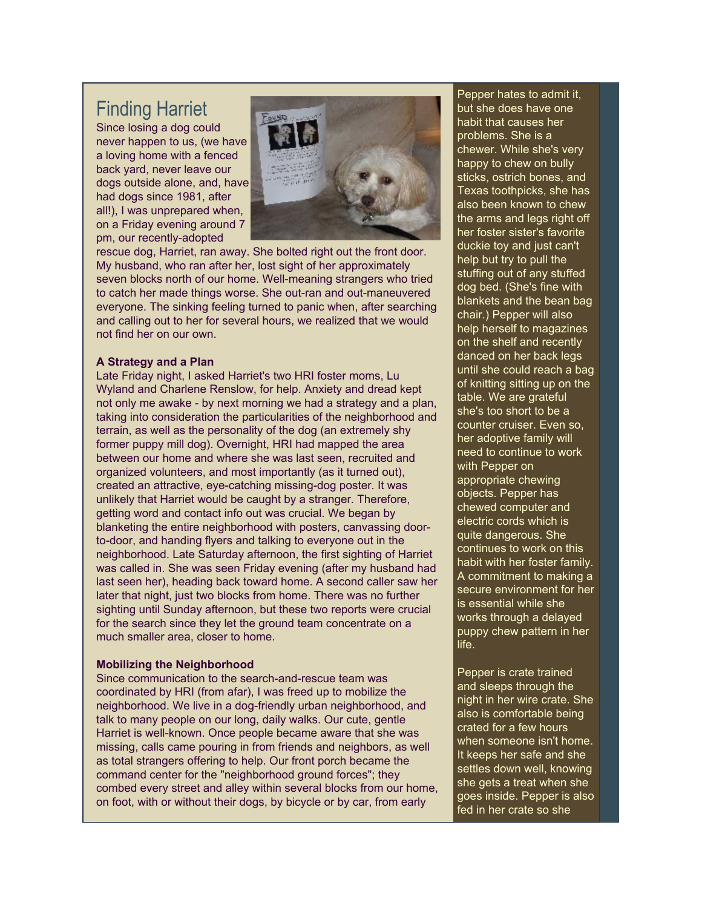# Finding Harriet

Since losing a dog could never happen to us, (we have a loving home with a fenced back yard, never leave our dogs outside alone, and, have had dogs since 1981, after all!), I was unprepared when, on a Friday evening around 7 pm, our recently-adopted



rescue dog, Harriet, ran away. She bolted right out the front door. My husband, who ran after her, lost sight of her approximately seven blocks north of our home. Well-meaning strangers who tried to catch her made things worse. She out-ran and out-maneuvered everyone. The sinking feeling turned to panic when, after searching and calling out to her for several hours, we realized that we would not find her on our own.

#### **A Strategy and a Plan**

Late Friday night, I asked Harriet's two HRI foster moms, Lu Wyland and Charlene Renslow, for help. Anxiety and dread kept not only me awake - by next morning we had a strategy and a plan, taking into consideration the particularities of the neighborhood and terrain, as well as the personality of the dog (an extremely shy former puppy mill dog). Overnight, HRI had mapped the area between our home and where she was last seen, recruited and organized volunteers, and most importantly (as it turned out), created an attractive, eye-catching missing-dog poster. It was unlikely that Harriet would be caught by a stranger. Therefore, getting word and contact info out was crucial. We began by blanketing the entire neighborhood with posters, canvassing doorto-door, and handing flyers and talking to everyone out in the neighborhood. Late Saturday afternoon, the first sighting of Harriet was called in. She was seen Friday evening (after my husband had last seen her), heading back toward home. A second caller saw her later that night, just two blocks from home. There was no further sighting until Sunday afternoon, but these two reports were crucial for the search since they let the ground team concentrate on a much smaller area, closer to home.

#### **Mobilizing the Neighborhood**

Since communication to the search-and-rescue team was coordinated by HRI (from afar), I was freed up to mobilize the neighborhood. We live in a dog-friendly urban neighborhood, and talk to many people on our long, daily walks. Our cute, gentle Harriet is well-known. Once people became aware that she was missing, calls came pouring in from friends and neighbors, as well as total strangers offering to help. Our front porch became the command center for the "neighborhood ground forces"; they combed every street and alley within several blocks from our home, on foot, with or without their dogs, by bicycle or by car, from early

Pepper hates to admit it, but she does have one habit that causes her problems. She is a chewer. While she's very happy to chew on bully sticks, ostrich bones, and Texas toothpicks, she has also been known to chew the arms and legs right off her foster sister's favorite duckie toy and just can't help but try to pull the stuffing out of any stuffed dog bed. (She's fine with blankets and the bean bag chair.) Pepper will also help herself to magazines on the shelf and recently danced on her back legs until she could reach a bag of knitting sitting up on the table. We are grateful she's too short to be a counter cruiser. Even so, her adoptive family will need to continue to work with Pepper on appropriate chewing objects. Pepper has chewed computer and electric cords which is quite dangerous. She continues to work on this habit with her foster family. A commitment to making a secure environment for her is essential while she works through a delayed puppy chew pattern in her life.

Pepper is crate trained and sleeps through the night in her wire crate. She also is comfortable being crated for a few hours when someone isn't home. It keeps her safe and she settles down well, knowing she gets a treat when she goes inside. Pepper is also fed in her crate so she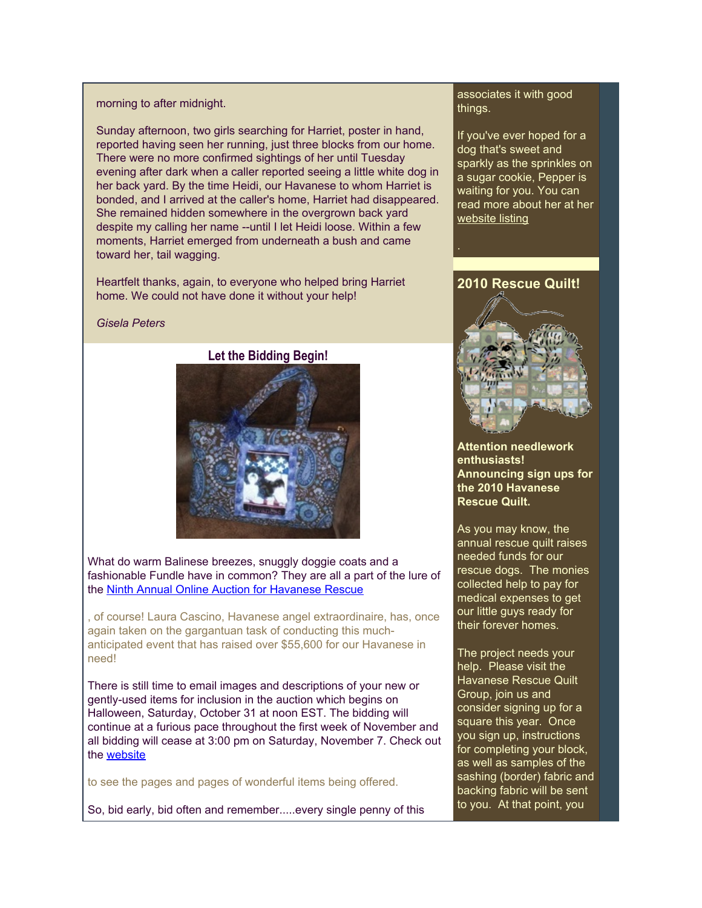#### morning to after midnight.

Sunday afternoon, two girls searching for Harriet, poster in hand, reported having seen her running, just three blocks from our home. There were no more confirmed sightings of her until Tuesday evening after dark when a caller reported seeing a little white dog in her back yard. By the time Heidi, our Havanese to whom Harriet is bonded, and I arrived at the caller's home, Harriet had disappeared. She remained hidden somewhere in the overgrown back yard despite my calling her name --until I let Heidi loose. Within a few moments, Harriet emerged from underneath a bush and came toward her, tail wagging.

Heartfelt thanks, again, to everyone who helped bring Harriet home. We could not have done it without your help!

#### *Gisela Peters*

### **Let the Bidding Begin!**



What do warm Balinese breezes, snuggly doggie coats and a fashionable Fundle have in common? They are all a part of the lure of the [Ninth Annual Online Auction for Havanese Rescue](http://rs6.net/tn.jsp?et=1102773275072&s=2126&e=001UlUg5NMTQzEe5d-6lZ5r7KOIFEAcfnpgDcyrtI4CkMCK3DET399mnzTvNeBJwy7B1-EXgWvU62grVU6OqYGUlwnTOA9oWQtp-SqsJ530dMgv68n6xPZKUJT6t3SyMRbN3fyqRLlgvIvoiKMWvPJM90t7fnxblEyn)

, of course! Laura Cascino, Havanese angel extraordinaire, has, once again taken on the gargantuan task of conducting this muchanticipated event that has raised over \$55,600 for our Havanese in need!

There is still time to email images and descriptions of your new or gently-used items for inclusion in the auction which begins on Halloween, Saturday, October 31 at noon EST. The bidding will continue at a furious pace throughout the first week of November and all bidding will cease at 3:00 pm on Saturday, November 7. Check out the [website](http://rs6.net/tn.jsp?et=1102773275072&s=2126&e=001UlUg5NMTQzEe5d-6lZ5r7KOIFEAcfnpgDcyrtI4CkMCK3DET399mnzTvNeBJwy7B1-EXgWvU62grVU6OqYGUlwnTOA9oWQtp-SqsJ530dMgv68n6xPZKUJT6t3SyMRbN3fyqRLlgvIvoiKMWvPJM90t7fnxblEyn)

to see the pages and pages of wonderful items being offered.

So, bid early, bid often and remember.....every single penny of this

#### associates it with good things.

If you've ever hoped for a dog that's sweet and sparkly as the sprinkles on a sugar cookie, Pepper is waiting for you. You can read more about her at her [website listing](http://rs6.net/tn.jsp?et=1102773275072&s=2126&e=001UlUg5NMTQzE4d-KkbaDWKgQRXOyuPNzW7I2USCrPf_M8dDhdHKo8Gjhqq4km5qdCenNSM3EE20kmOlzKjSjIJiTNRfy4n8FSg4wB9isObKBcZ1mnyl9paEzKYKxpHuHsCYIEXz2G2mBDSMS6Z6mcyS30Iw7aZiMspTqjh1Uv_vuDj5xps9iKN8nzL32coQKyRwCpTIIIMhbznFKW1-FQmXdYj9-2YKmCEZnZ4f-lTTUThg9z5EX34UqjNToPbcmbdmziMpuoazfhIPDn8R0rm7HEQR5bRkBH)

## **2010 Rescue Quilt!**



**Attention needlework enthusiasts! Announcing sign ups for the 2010 Havanese Rescue Quilt.**

As you may know, the annual rescue quilt raises needed funds for our rescue dogs. The monies collected help to pay for medical expenses to get our little guys ready for their forever homes.

The project needs your help. Please visit the Havanese Rescue Quilt Group, join us and consider signing up for a square this year. Once you sign up, instructions for completing your block, as well as samples of the sashing (border) fabric and backing fabric will be sent to you. At that point, you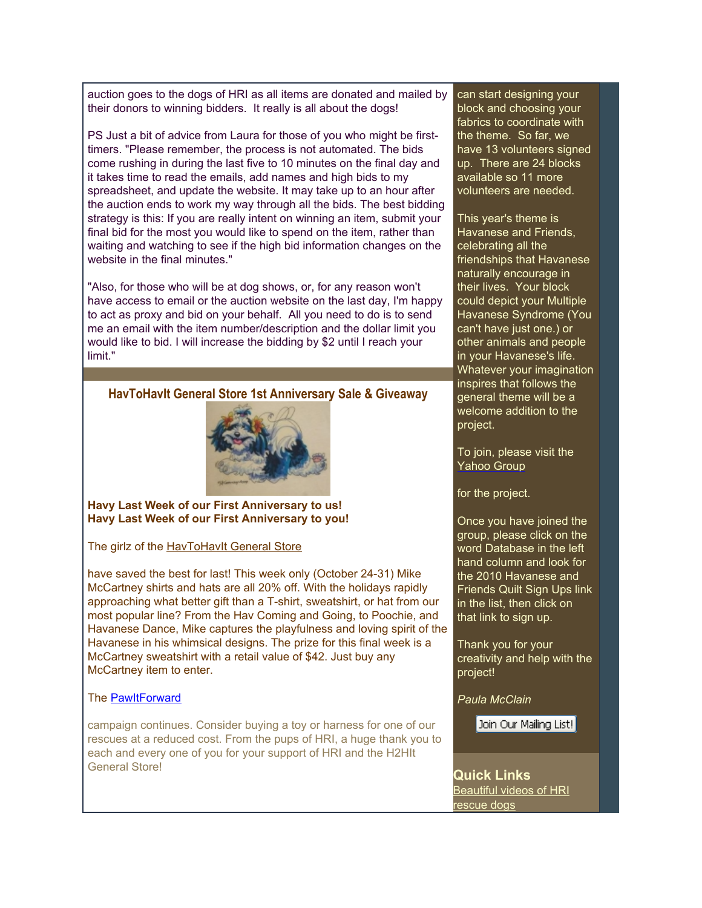auction goes to the dogs of HRI as all items are donated and mailed by their donors to winning bidders. It really is all about the dogs!

PS Just a bit of advice from Laura for those of you who might be firsttimers. "Please remember, the process is not automated. The bids come rushing in during the last five to 10 minutes on the final day and it takes time to read the emails, add names and high bids to my spreadsheet, and update the website. It may take up to an hour after the auction ends to work my way through all the bids. The best bidding strategy is this: If you are really intent on winning an item, submit your final bid for the most you would like to spend on the item, rather than waiting and watching to see if the high bid information changes on the website in the final minutes."

"Also, for those who will be at dog shows, or, for any reason won't have access to email or the auction website on the last day, I'm happy to act as proxy and bid on your behalf. All you need to do is to send me an email with the item number/description and the dollar limit you would like to bid. I will increase the bidding by \$2 until I reach your limit."

#### **HavToHavIt General Store 1st Anniversary Sale & Giveaway**



**Havy Last Week of our First Anniversary to us! Havy Last Week of our First Anniversary to you!**

The girlz of the [HavToHavIt General Store](http://rs6.net/tn.jsp?et=1102773275072&s=2126&e=001UlUg5NMTQzGehKS2O2SCsNGfwqZEpoyscmWdC7KJtZRKX6Ry4YXWVnJFwuE37AQDucy9wW6kx0Xd6fm56YHUwQ6ZZhPHMZIN6RVYm-QoayozsSSOShNg2w==)

have saved the best for last! This week only (October 24-31) Mike McCartney shirts and hats are all 20% off. With the holidays rapidly approaching what better gift than a T-shirt, sweatshirt, or hat from our most popular line? From the Hav Coming and Going, to Poochie, and Havanese Dance, Mike captures the playfulness and loving spirit of the Havanese in his whimsical designs. The prize for this final week is a McCartney sweatshirt with a retail value of \$42. Just buy any McCartney item to enter.

#### The [PawItForward](http://rs6.net/tn.jsp?et=1102773275072&s=2126&e=001UlUg5NMTQzF1EP-CfINxiPSNl3zffyZf9GX2YDDbkBAXvomVUya7kkylsSP-i10RAfZxJBPW0FDHPgGGJOq9XjcEbuCN6BvGXNWWcrXuRqUJNcYM_0aH2Qw7BFO00APll_UGwTR3bNYoS4LXtWphjcf0ad8oQApiFWzjldoWYlNPtw54VR-DiWhlCJik4J17GNoJM4jFXMG3TUIc-lBPWTWydnWlXRyLSXvuih-_WjI=)

campaign continues. Consider buying a toy or harness for one of our rescues at a reduced cost. From the pups of HRI, a huge thank you to each and every one of you for your support of HRI and the H2HIt General Store!

can start designing your block and choosing your fabrics to coordinate with the theme. So far, we have 13 volunteers signed up. There are 24 blocks available so 11 more volunteers are needed.

This year's theme is Havanese and Friends, celebrating all the friendships that Havanese naturally encourage in their lives. Your block could depict your Multiple Havanese Syndrome (You can't have just one.) or other animals and people in your Havanese's life. Whatever your imagination inspires that follows the general theme will be a welcome addition to the project.

To join, please visit the [Yahoo Group](http://rs6.net/tn.jsp?et=1102773275072&s=2126&e=001UlUg5NMTQzGHw7pg4T4oV_EWRcXwY-H8FnU2oRHPpp8FpkcKV-kF_ozAs5QUG2AWg0Loc9Sb48qvmzF29Kv9-erYcDyBXoblP0jdThHKwVrVDq104iphGN4d53ikuEGvmn8u2olwNOByHnws0WwbRjR7dDZjlxn1)

for the project.

Once you have joined the group, please click on the word Database in the left hand column and look for the 2010 Havanese and Friends Quilt Sign Ups link in the list, then click on that link to sign up.

Thank you for your creativity and help with the project!

*Paula McClain*

Join Our Mailing List!

**Quick Links** [Beautiful videos of HRI](http://rs6.net/tn.jsp?et=1102773275072&s=2126&e=001UlUg5NMTQzG3p8v040jjyCQqn_vpy7DFIkqjHhkNjM5r41GeuWYOSOerpAJIYD4cCz5f8eaEPMPIO0EUITyrdB17sX0kPDhbjAXmTldMQg7LS1_aj4vdNq5Qac8TGtyUHLyZUj0sXmWMbdvybcMEySZ7n8gLLtiOMP9p9nQg8gPmzcQZFIDr-0oW4o2cbY7pWz4QRq-it2_1eLToa1DfLRr6ldJFl5nI) [rescue dogs](http://rs6.net/tn.jsp?et=1102773275072&s=2126&e=001UlUg5NMTQzG3p8v040jjyCQqn_vpy7DFIkqjHhkNjM5r41GeuWYOSOerpAJIYD4cCz5f8eaEPMPIO0EUITyrdB17sX0kPDhbjAXmTldMQg7LS1_aj4vdNq5Qac8TGtyUHLyZUj0sXmWMbdvybcMEySZ7n8gLLtiOMP9p9nQg8gPmzcQZFIDr-0oW4o2cbY7pWz4QRq-it2_1eLToa1DfLRr6ldJFl5nI)